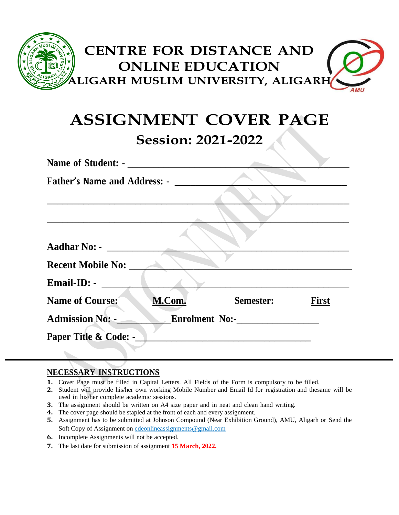

# **ASSIGNMENT COVER PAGE Session: 2021-2022**

| <b>Name of Student: -</b>           |                                         |           |              |
|-------------------------------------|-----------------------------------------|-----------|--------------|
| <b>Father's Name and Address: -</b> |                                         |           |              |
|                                     |                                         |           |              |
|                                     |                                         |           |              |
|                                     |                                         |           |              |
| <b>Aadhar No: -</b>                 |                                         |           |              |
| <b>Recent Mobile No:</b>            |                                         |           |              |
| $\n  Email-ID:\n$                   |                                         |           |              |
| Name of Course:                     | M.Com.                                  | Semester: | <b>First</b> |
| <b>Admission No: -_</b>             | Enrolment No:-<br><u>Enrolment No:-</u> |           |              |
| Paper Title & Code: -               |                                         |           |              |
|                                     |                                         |           |              |

#### **NECESSARY INSTRUCTIONS**

- **1.** Cover Page must be filled in Capital Letters. All Fields of the Form is compulsory to be filled.
- **2.** Student will provide his/her own working Mobile Number and Email Id for registration and thesame will be used in his/her complete academic sessions.
- **3.** The assignment should be written on A4 size paper and in neat and clean hand writing.
- **4.** The cover page should be stapled at the front of each and every assignment.
- **5.** Assignment has to be submitted at Johnson Compound (Near Exhibition Ground), AMU, Aligarh or Send the Soft Copy of Assignment on [cdeonlineassignments@gmail.com](mailto:cdeonlineassignments@gmail.com)
- **6.** Incomplete Assignments will not be accepted.
- **7.** The last date for submission of assignment **15 March, 2022.**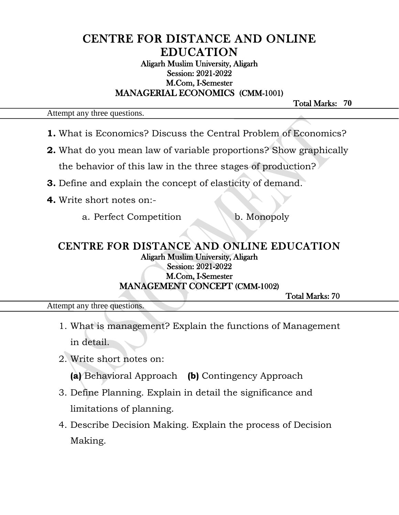## CENTRE FOR DISTANCE AND ONLINE EDUCATION Aligarh Muslim University, Aligarh Session: 2021-2022 M.Com, I-Semester MANAGERIAL ECONOMICS (CMM-1001)

Total Marks: **70** 

Attempt any three questions.

- **1.** What is Economics? Discuss the Central Problem of Economics?
- **2.** What do you mean law of variable proportions? Show graphically the behavior of this law in the three stages of production?
- **3.** Define and explain the concept of elasticity of demand.
- **4.** Write short notes on:
	- a. Perfect Competition b. Monopoly

### CENTRE FOR DISTANCE AND ONLINE EDUCATION Aligarh Muslim University, Aligarh Session: 2021-2022 M.Com, I-Semester MANAGEMENT CONCEPT (CMM-1002)

Ĭ

Total Marks: 70

Attempt any three questions.

- 1. What is management? Explain the functions of Management in detail.
- 2. Write short notes on:

**(a)** Behavioral Approach **(b)** Contingency Approach

- 3. Define Planning. Explain in detail the significance and limitations of planning.
- 4. Describe Decision Making. Explain the process of Decision Making.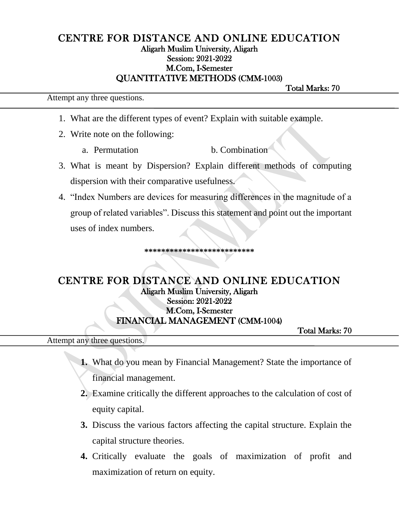### CENTRE FOR DISTANCE AND ONLINE EDUCATION Aligarh Muslim University, Aligarh Session: 2021-2022 M.Com, I-Semester QUANTITATIVE METHODS (CMM-1003)

Attempt any three questions.

Total Marks: 70

- 1. What are the different types of event? Explain with suitable example.
- 2. Write note on the following:
	- a. Permutation b. Combination
- 3. What is meant by Dispersion? Explain different methods of computing dispersion with their comparative usefulness.
- 4. "Index Numbers are devices for measuring differences in the magnitude of a group of related variables". Discuss this statement and point out the important uses of index numbers.

## **\*\*\*\*\*\*\*\*\*\*\*\*\*\*\*\*\*\*\*\*\*\*\*\*\*\***

## CENTRE FOR DISTANCE AND ONLINE EDUCATION Aligarh Muslim University, Aligarh Session: 2021-2022 M.Com, I-Semester FINANCIAL MANAGEMENT (CMM-1004)

Total Marks: 70

Attempt any three questions.

- **1.** What do you mean by Financial Management? State the importance of financial management.
- **2.** Examine critically the different approaches to the calculation of cost of equity capital.
- **3.** Discuss the various factors affecting the capital structure. Explain the capital structure theories.
- **4.** Critically evaluate the goals of maximization of profit and maximization of return on equity.